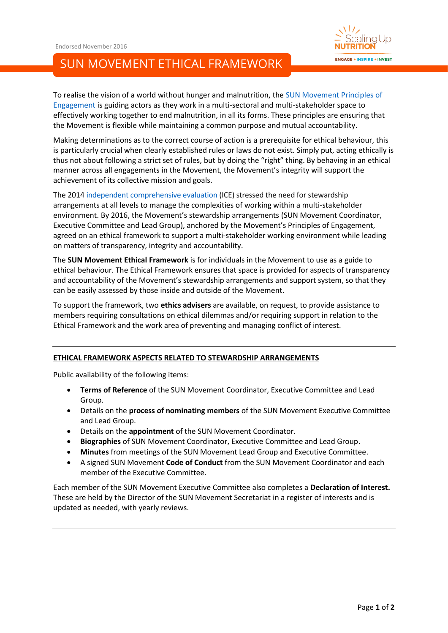



To realise the vision of a world without hunger and malnutrition, th[e SUN Movement Principles](http://scalingupnutrition.org/about-sun/the-vision-and-principles-of-sun/) of [Engagement](http://scalingupnutrition.org/about-sun/the-vision-and-principles-of-sun/) is guiding actors as they work in a multi-sectoral and multi-stakeholder space to effectively working together to end malnutrition, in all its forms. These principles are ensuring that the Movement is flexible while maintaining a common purpose and mutual accountability.

Making determinations as to the correct course of action is a prerequisite for ethical behaviour, this is particularly crucial when clearly established rules or laws do not exist. Simply put, acting ethically is thus not about following a strict set of rules, but by doing the "right" thing. By behaving in an ethical manner across all engagements in the Movement, the Movement's integrity will support the achievement of its collective mission and goals.

The 2014 [independent comprehensive evaluation](http://scalingupnutrition.org/about-sun/the-history-of-the-sun-movement/#2) (ICE) stressed the need for stewardship arrangements at all levels to manage the complexities of working within a multi-stakeholder environment. By 2016, the Movement's stewardship arrangements (SUN Movement Coordinator, Executive Committee and Lead Group), anchored by the Movement's Principles of Engagement, agreed on an ethical framework to support a multi-stakeholder working environment while leading on matters of transparency, integrity and accountability.

The **SUN Movement Ethical Framework** is for individuals in the Movement to use as a guide to ethical behaviour. The Ethical Framework ensures that space is provided for aspects of transparency and accountability of the Movement's stewardship arrangements and support system, so that they can be easily assessed by those inside and outside of the Movement.

To support the framework, two **ethics advisers** are available, on request, to provide assistance to members requiring consultations on ethical dilemmas and/or requiring support in relation to the Ethical Framework and the work area of preventing and managing conflict of interest.

## **ETHICAL FRAMEWORK ASPECTS RELATED TO STEWARDSHIP ARRANGEMENTS**

Public availability of the following items:

- **Terms of Reference** of the SUN Movement Coordinator, Executive Committee and Lead Group.
- Details on the **process of nominating members** of the SUN Movement Executive Committee and Lead Group.
- Details on the **appointment** of the SUN Movement Coordinator.
- **Biographies** of SUN Movement Coordinator, Executive Committee and Lead Group.
- **Minutes** from meetings of the SUN Movement Lead Group and Executive Committee.
- A signed SUN Movement **Code of Conduct** from the SUN Movement Coordinator and each member of the Executive Committee.

Each member of the SUN Movement Executive Committee also completes a **Declaration of Interest.**  These are held by the Director of the SUN Movement Secretariat in a register of interests and is updated as needed, with yearly reviews.